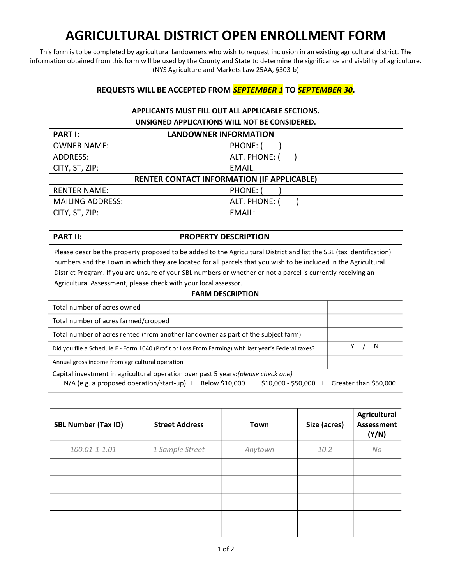# **AGRICULTURAL DISTRICT OPEN ENROLLMENT FORM**

This form is to be completed by agricultural landowners who wish to request inclusion in an existing agricultural district. The information obtained from this form will be used by the County and State to determine the significance and viability of agriculture. (NYS Agriculture and Markets Law 25AA, §303-b)

# **REQUESTS WILL BE ACCEPTED FROM** *SEPTEMBER 1* **TO** *SEPTEMBER 30***.**

# **APPLICANTS MUST FILL OUT ALL APPLICABLE SECTIONS. UNSIGNED APPLICATIONS WILL NOT BE CONSIDERED.**

| <b>PART I:</b><br><b>LANDOWNER INFORMATION</b>    |               |  |
|---------------------------------------------------|---------------|--|
| <b>OWNER NAME:</b>                                | PHONE: (      |  |
| ADDRESS:                                          | ALT. PHONE: ( |  |
| CITY, ST, ZIP:                                    | EMAIL:        |  |
| <b>RENTER CONTACT INFORMATION (IF APPLICABLE)</b> |               |  |
| <b>RENTER NAME:</b>                               | PHONE: (      |  |
| <b>MAILING ADDRESS:</b>                           | ALT. PHONE:   |  |
| CITY, ST, ZIP:                                    | EMAIL:        |  |

# **PART II:** PROPERTY DESCRIPTION

Please describe the property proposed to be added to the Agricultural District and list the SBL (tax identification) numbers and the Town in which they are located for all parcels that you wish to be included in the Agricultural District Program. If you are unsure of your SBL numbers or whether or not a parcel is currently receiving an Agricultural Assessment, please check with your local assessor.

### **FARM DESCRIPTION**

| Total number of acres owned                                                                                               |   |  |
|---------------------------------------------------------------------------------------------------------------------------|---|--|
| Total number of acres farmed/cropped                                                                                      |   |  |
| Total number of acres rented (from another landowner as part of the subject farm)                                         |   |  |
| Did you file a Schedule F - Form 1040 (Profit or Loss From Farming) with last year's Federal taxes?                       | N |  |
| Annual gross income from agricultural operation                                                                           |   |  |
| Capital investment in agricultural operation over past 5 years: (please check one)                                        |   |  |
| $\Box$ N/A (e.g. a proposed operation/start-up) $\Box$ Below \$10,000 $\Box$ \$10,000 - \$50,000<br>Greater than \$50,000 |   |  |

| <b>SBL Number (Tax ID)</b> | <b>Street Address</b> | Town    | Size (acres) | <b>Agricultural</b><br><b>Assessment</b> |
|----------------------------|-----------------------|---------|--------------|------------------------------------------|
| 100.01-1-1.01              | 1 Sample Street       | Anytown | 10.2         | (Y/N)<br>No                              |
|                            |                       |         |              |                                          |
|                            |                       |         |              |                                          |
|                            |                       |         |              |                                          |
|                            |                       |         |              |                                          |
|                            |                       |         |              |                                          |
|                            |                       |         |              |                                          |